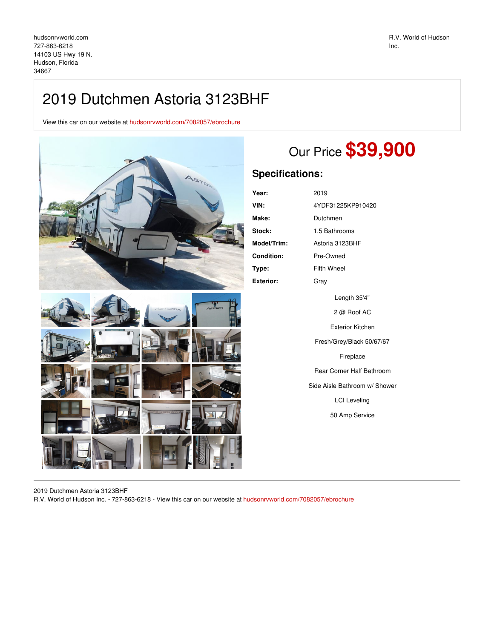## 2019 Dutchmen Astoria 3123BHF

View this car on our website at [hudsonrvworld.com/7082057/ebrochure](https://hudsonrvworld.com/vehicle/7082057/2019-dutchmen-astoria-3123bhf-hudson-florida-34667/7082057/ebrochure)



## Our Price **\$39,900**

## **Specifications:**

| Year:            | 2019              |
|------------------|-------------------|
| VIN:             | 4YDF31225KP910420 |
| Make:            | Dutchmen          |
| Stock:           | 1.5 Bathrooms     |
| Model/Trim:      | Astoria 3123BHF   |
| Condition:       | Pre-Owned         |
| Type:            | Fifth Wheel       |
| <b>Exterior:</b> | Grav              |
|                  | l ength 35'4"     |

Length 35'4" 2 @ Roof AC Exterior Kitchen Fresh/Grey/Black 50/67/67 Fireplace Rear Corner Half Bathroom Side Aisle Bathroom w/ Shower LCI Leveling 50 Amp Service

2019 Dutchmen Astoria 3123BHF

R.V. World of Hudson Inc. - 727-863-6218 - View this car on our website at [hudsonrvworld.com/7082057/ebrochure](https://hudsonrvworld.com/vehicle/7082057/2019-dutchmen-astoria-3123bhf-hudson-florida-34667/7082057/ebrochure)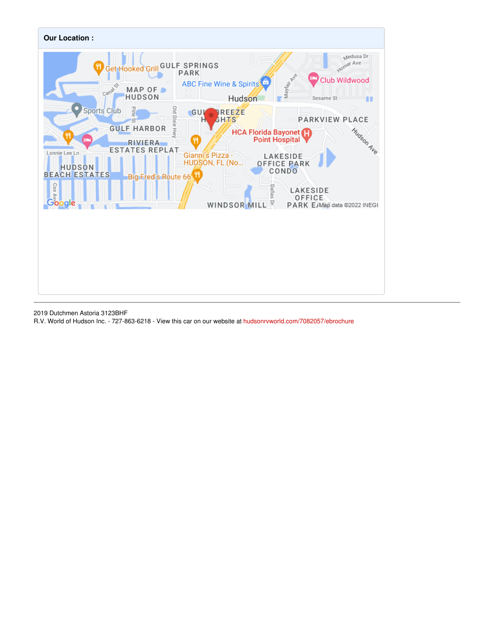

2019 Dutchmen Astoria 3123BHF

R.V. World of Hudson Inc. - 727-863-6218 - View this car on our website at [hudsonrvworld.com/7082057/ebrochure](https://hudsonrvworld.com/vehicle/7082057/2019-dutchmen-astoria-3123bhf-hudson-florida-34667/7082057/ebrochure)